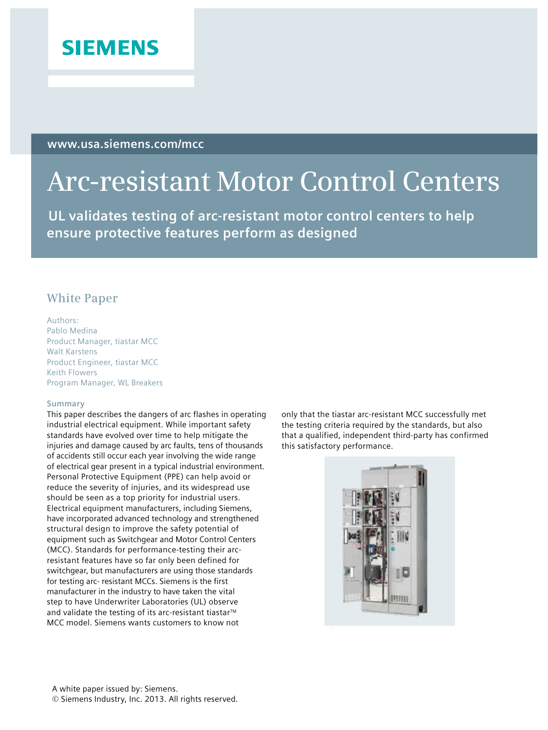

**www.usa.siemens.com/mcc**

# **Arc-resistant Motor Control Centers**

 **UL validates testing of arc-resistant motor control centers to help ensure protective features perform as designed** 

# **White Paper**

Authors: Pablo Medina Product Manager, tiastar MCC Walt Karstens Product Engineer, tiastar MCC Keith Flowers Program Manager, WL Breakers

#### **Summary**

This paper describes the dangers of arc flashes in operating industrial electrical equipment. While important safety standards have evolved over time to help mitigate the injuries and damage caused by arc faults, tens of thousands of accidents still occur each year involving the wide range of electrical gear present in a typical industrial environment. Personal Protective Equipment (PPE) can help avoid or reduce the severity of injuries, and its widespread use should be seen as a top priority for industrial users. Electrical equipment manufacturers, including Siemens, have incorporated advanced technology and strengthened structural design to improve the safety potential of equipment such as Switchgear and Motor Control Centers (MCC). Standards for performance-testing their arcresistant features have so far only been defined for switchgear, but manufacturers are using those standards for testing arc- resistant MCCs. Siemens is the first manufacturer in the industry to have taken the vital step to have Underwriter Laboratories (UL) observe and validate the testing of its arc-resistant tiastar<sup>™</sup> MCC model. Siemens wants customers to know not

only that the tiastar arc-resistant MCC successfully met the testing criteria required by the standards, but also that a qualified, independent third-party has confirmed this satisfactory performance.

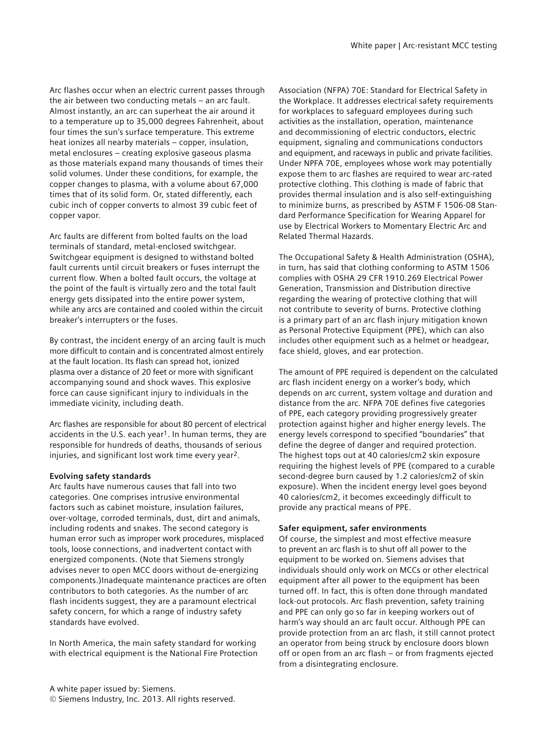Arc flashes occur when an electric current passes through the air between two conducting metals – an arc fault. Almost instantly, an arc can superheat the air around it to a temperature up to 35,000 degrees Fahrenheit, about four times the sun's surface temperature. This extreme heat ionizes all nearby materials – copper, insulation, metal enclosures – creating explosive gaseous plasma as those materials expand many thousands of times their solid volumes. Under these conditions, for example, the copper changes to plasma, with a volume about 67,000 times that of its solid form. Or, stated differently, each cubic inch of copper converts to almost 39 cubic feet of copper vapor.

Arc faults are different from bolted faults on the load terminals of standard, metal-enclosed switchgear. Switchgear equipment is designed to withstand bolted fault currents until circuit breakers or fuses interrupt the current flow. When a bolted fault occurs, the voltage at the point of the fault is virtually zero and the total fault energy gets dissipated into the entire power system, while any arcs are contained and cooled within the circuit breaker's interrupters or the fuses.

By contrast, the incident energy of an arcing fault is much more difficult to contain and is concentrated almost entirely at the fault location. Its flash can spread hot, ionized plasma over a distance of 20 feet or more with significant accompanying sound and shock waves. This explosive force can cause significant injury to individuals in the immediate vicinity, including death.

Arc flashes are responsible for about 80 percent of electrical accidents in the U.S. each year<sup>1</sup>. In human terms, they are responsible for hundreds of deaths, thousands of serious injuries, and significant lost work time every year2.

#### **Evolving safety standards**

Arc faults have numerous causes that fall into two categories. One comprises intrusive environmental factors such as cabinet moisture, insulation failures, over-voltage, corroded terminals, dust, dirt and animals, including rodents and snakes. The second category is human error such as improper work procedures, misplaced tools, loose connections, and inadvertent contact with energized components. (Note that Siemens strongly advises never to open MCC doors without de-energizing components.)Inadequate maintenance practices are often contributors to both categories. As the number of arc flash incidents suggest, they are a paramount electrical safety concern, for which a range of industry safety standards have evolved.

In North America, the main safety standard for working with electrical equipment is the National Fire Protection Association (NFPA) 70E: Standard for Electrical Safety in the Workplace. It addresses electrical safety requirements for workplaces to safeguard employees during such activities as the installation, operation, maintenance and decommissioning of electric conductors, electric equipment, signaling and communications conductors and equipment, and raceways in public and private facilities. Under NPFA 70E, employees whose work may potentially expose them to arc flashes are required to wear arc-rated protective clothing. This clothing is made of fabric that provides thermal insulation and is also self-extinguishing to minimize burns, as prescribed by ASTM F 1506-08 Standard Performance Specification for Wearing Apparel for use by Electrical Workers to Momentary Electric Arc and Related Thermal Hazards.

The Occupational Safety & Health Administration (OSHA), in turn, has said that clothing conforming to ASTM 1506 complies with OSHA 29 CFR 1910.269 Electrical Power Generation, Transmission and Distribution directive regarding the wearing of protective clothing that will not contribute to severity of burns. Protective clothing is a primary part of an arc flash injury mitigation known as Personal Protective Equipment (PPE), which can also includes other equipment such as a helmet or headgear, face shield, gloves, and ear protection.

The amount of PPE required is dependent on the calculated arc flash incident energy on a worker's body, which depends on arc current, system voltage and duration and distance from the arc. NFPA 70E defines five categories of PPE, each category providing progressively greater protection against higher and higher energy levels. The energy levels correspond to specified "boundaries" that define the degree of danger and required protection. The highest tops out at 40 calories/cm2 skin exposure requiring the highest levels of PPE (compared to a curable second-degree burn caused by 1.2 calories/cm2 of skin exposure). When the incident energy level goes beyond 40 calories/cm2, it becomes exceedingly difficult to provide any practical means of PPE.

#### **Safer equipment, safer environments**

Of course, the simplest and most effective measure to prevent an arc flash is to shut off all power to the equipment to be worked on. Siemens advises that individuals should only work on MCCs or other electrical equipment after all power to the equipment has been turned off. In fact, this is often done through mandated lock-out protocols. Arc flash prevention, safety training and PPE can only go so far in keeping workers out of harm's way should an arc fault occur. Although PPE can provide protection from an arc flash, it still cannot protect an operator from being struck by enclosure doors blown off or open from an arc flash – or from fragments ejected from a disintegrating enclosure.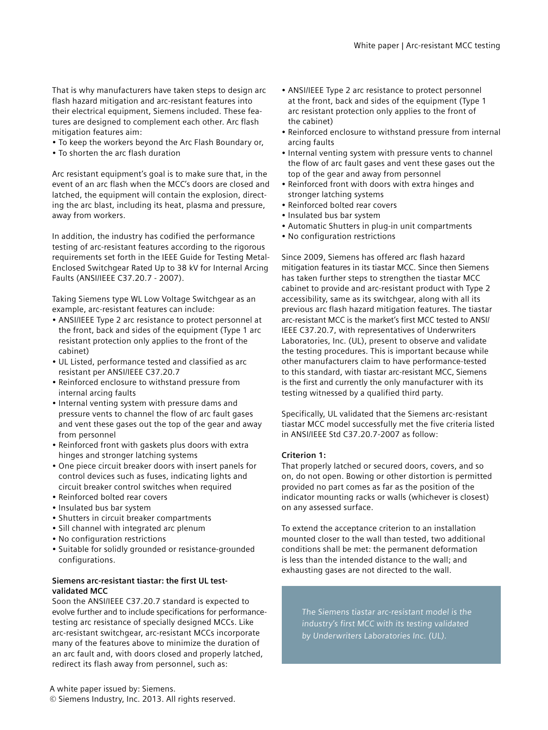That is why manufacturers have taken steps to design arc flash hazard mitigation and arc-resistant features into their electrical equipment, Siemens included. These features are designed to complement each other. Arc flash mitigation features aim:

- To keep the workers beyond the Arc Flash Boundary or,
- To shorten the arc flash duration

Arc resistant equipment's goal is to make sure that, in the event of an arc flash when the MCC's doors are closed and latched, the equipment will contain the explosion, directing the arc blast, including its heat, plasma and pressure, away from workers.

In addition, the industry has codified the performance testing of arc-resistant features according to the rigorous requirements set forth in the IEEE Guide for Testing Metal-Enclosed Switchgear Rated Up to 38 kV for Internal Arcing Faults (ANSI/IEEE C37.20.7 - 2007).

Taking Siemens type WL Low Voltage Switchgear as an example, arc-resistant features can include:

- ANSI/IEEE Type 2 arc resistance to protect personnel at the front, back and sides of the equipment (Type 1 arc resistant protection only applies to the front of the cabinet)
- UL Listed, performance tested and classified as arc resistant per ANSI/IEEE C37.20.7
- Reinforced enclosure to withstand pressure from internal arcing faults
- Internal venting system with pressure dams and pressure vents to channel the flow of arc fault gases and vent these gases out the top of the gear and away from personnel
- Reinforced front with gaskets plus doors with extra hinges and stronger latching systems
- One piece circuit breaker doors with insert panels for control devices such as fuses, indicating lights and circuit breaker control switches when required
- Reinforced bolted rear covers
- Insulated bus bar system
- Shutters in circuit breaker compartments
- Sill channel with integrated arc plenum
- No configuration restrictions
- Suitable for solidly grounded or resistance-grounded configurations.

### **Siemens arc-resistant tiastar: the first UL testvalidated MCC**

Soon the ANSI/IEEE C37.20.7 standard is expected to evolve further and to include specifications for performancetesting arc resistance of specially designed MCCs. Like arc-resistant switchgear, arc-resistant MCCs incorporate many of the features above to minimize the duration of an arc fault and, with doors closed and properly latched, redirect its flash away from personnel, such as:

A white paper issued by: Siemens. © Siemens Industry, Inc. 2013. All rights reserved.

- ANSI/IEEE Type 2 arc resistance to protect personnel at the front, back and sides of the equipment (Type 1 arc resistant protection only applies to the front of the cabinet)
- Reinforced enclosure to withstand pressure from internal arcing faults
- Internal venting system with pressure vents to channel the flow of arc fault gases and vent these gases out the top of the gear and away from personnel
- Reinforced front with doors with extra hinges and stronger latching systems
- Reinforced bolted rear covers
- Insulated bus bar system
- Automatic Shutters in plug-in unit compartments
- No configuration restrictions

Since 2009, Siemens has offered arc flash hazard mitigation features in its tiastar MCC. Since then Siemens has taken further steps to strengthen the tiastar MCC cabinet to provide and arc-resistant product with Type 2 accessibility, same as its switchgear, along with all its previous arc flash hazard mitigation features. The tiastar arc-resistant MCC is the market's first MCC tested to ANSI/ IEEE C37.20.7, with representatives of Underwriters Laboratories, Inc. (UL), present to observe and validate the testing procedures. This is important because while other manufacturers claim to have performance-tested to this standard, with tiastar arc-resistant MCC, Siemens is the first and currently the only manufacturer with its testing witnessed by a qualified third party.

Specifically, UL validated that the Siemens arc-resistant tiastar MCC model successfully met the five criteria listed in ANSI/IEEE Std C37.20.7-2007 as follow:

# **Criterion 1:**

That properly latched or secured doors, covers, and so on, do not open. Bowing or other distortion is permitted provided no part comes as far as the position of the indicator mounting racks or walls (whichever is closest) on any assessed surface.

To extend the acceptance criterion to an installation mounted closer to the wall than tested, two additional conditions shall be met: the permanent deformation is less than the intended distance to the wall; and exhausting gases are not directed to the wall.

The Siemens tiastar arc-resistant model is the industry's first MCC with its testing validated by Underwriters Laboratories Inc. (UL).